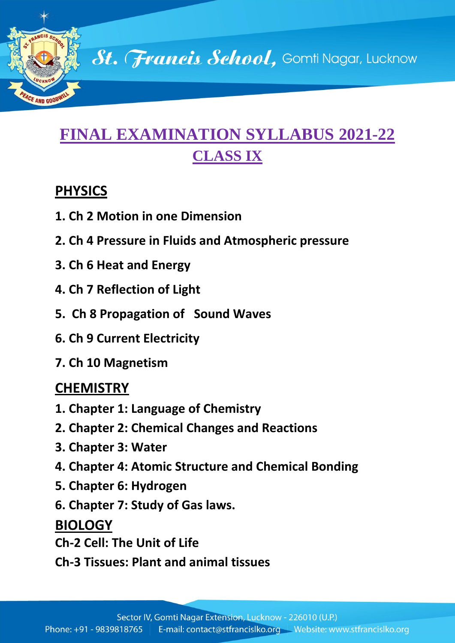

# **FINAL EXAMINATION SYLLABUS 2021-22 CLASS IX**

### **PHYSICS**

- **1. Ch 2 Motion in one Dimension**
- **2. Ch 4 Pressure in Fluids and Atmospheric pressure**
- **3. Ch 6 Heat and Energy**
- **4. Ch 7 Reflection of Light**
- **5. Ch 8 Propagation of Sound Waves**
- **6. Ch 9 Current Electricity**
- **7. Ch 10 Magnetism**

## **CHEMISTRY**

- **1. Chapter 1: Language of Chemistry**
- **2. Chapter 2: Chemical Changes and Reactions**
- **3. Chapter 3: Water**
- **4. Chapter 4: Atomic Structure and Chemical Bonding**
- **5. Chapter 6: Hydrogen**
- **6. Chapter 7: Study of Gas laws.**

### **BIOLOGY**

- **Ch-2 Cell: The Unit of Life**
- **Ch-3 Tissues: Plant and animal tissues**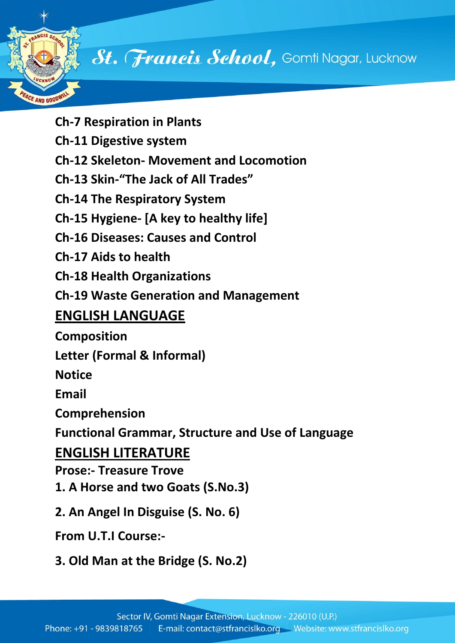

St. Francis School, Gomti Nagar, Lucknow

**Ch-7 Respiration in Plants Ch-11 Digestive system Ch-12 Skeleton- Movement and Locomotion Ch-13 Skin-"The Jack of All Trades" Ch-14 The Respiratory System Ch-15 Hygiene- [A key to healthy life] Ch-16 Diseases: Causes and Control Ch-17 Aids to health Ch-18 Health Organizations Ch-19 Waste Generation and Management ENGLISH LANGUAGE Composition Letter (Formal & Informal) Notice Email Comprehension Functional Grammar, Structure and Use of Language ENGLISH LITERATURE Prose:- Treasure Trove 1. A Horse and two Goats (S.No.3) 2. An Angel In Disguise (S. No. 6) From U.T.I Course:-**

**3. Old Man at the Bridge (S. No.2)**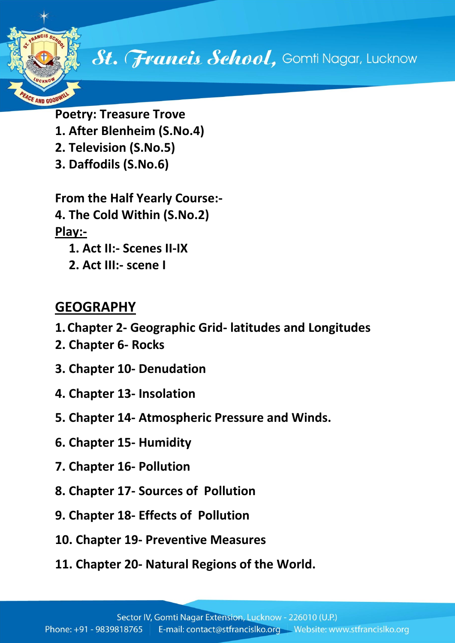

**Poetry: Treasure Trove 1. After Blenheim (S.No.4) 2. Television (S.No.5) 3. Daffodils (S.No.6)**

**From the Half Yearly Course:- 4. The Cold Within (S.No.2) Play:- 1. Act II:- Scenes II-IX**

**2. Act III:- scene I**

## **GEOGRAPHY**

- **1.Chapter 2- Geographic Grid- latitudes and Longitudes**
- **2. Chapter 6- Rocks**
- **3. Chapter 10- Denudation**
- **4. Chapter 13- Insolation**
- **5. Chapter 14- Atmospheric Pressure and Winds.**
- **6. Chapter 15- Humidity**
- **7. Chapter 16- Pollution**
- **8. Chapter 17- Sources of Pollution**
- **9. Chapter 18- Effects of Pollution**
- **10. Chapter 19- Preventive Measures**
- **11. Chapter 20- Natural Regions of the World.**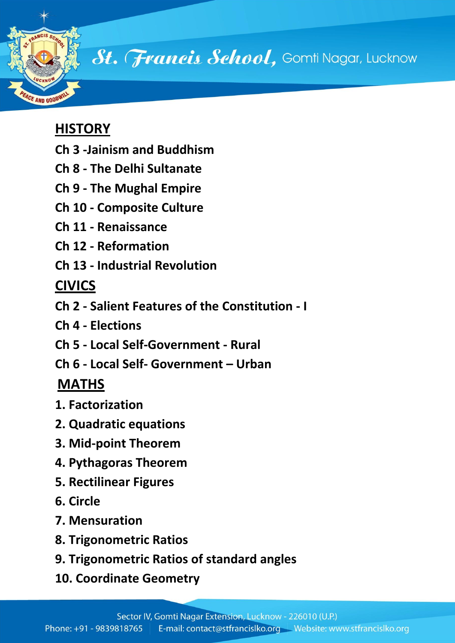

St. Francis School, Gomti Nagar, Lucknow

## **HISTORY**

- **Ch 3 -Jainism and Buddhism**
- **Ch 8 - The Delhi Sultanate**
- **Ch 9 - The Mughal Empire**
- **Ch 10 - Composite Culture**
- **Ch 11 - Renaissance**
- **Ch 12 - Reformation**
- **Ch 13 - Industrial Revolution**

## **CIVICS**

- **Ch 2 - Salient Features of the Constitution - I**
- **Ch 4 - Elections**
- **Ch 5 - Local Self-Government - Rural**
- **Ch 6 - Local Self- Government – Urban**

## **MATHS**

- **1. Factorization**
- **2. Quadratic equations**
- **3. Mid-point Theorem**
- **4. Pythagoras Theorem**
- **5. Rectilinear Figures**
- **6. Circle**
- **7. Mensuration**
- **8. Trigonometric Ratios**
- **9. Trigonometric Ratios of standard angles**
- **10. Coordinate Geometry**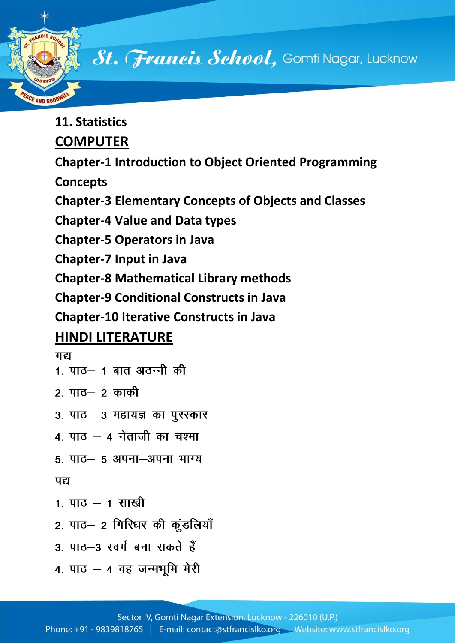

# St. Francis School, Gomti Nagar, Lucknow

**11. Statistics**

## **COMPUTER**

**Chapter-1 Introduction to Object Oriented Programming** 

**Concepts**

**Chapter-3 Elementary Concepts of Objects and Classes**

**Chapter-4 Value and Data types**

**Chapter-5 Operators in Java**

**Chapter-7 Input in Java**

**Chapter-8 Mathematical Library methods**

**Chapter-9 Conditional Constructs in Java**

**Chapter-10 Iterative Constructs in Java**

## **HINDI LITERATURE**

#### गद्य

- 1. पाठ- 1 बात अठन्नी की
- २ पाठ— २ काकी
- 3. पाठ- 3 महायज्ञ का पुरस्कार
- $4.$  पाठ  $-$  4 नेताजी का चश्मा
- 5. पाठ- 5 अपना-अपना भाग्य

#### पद्य

- 1. पाठ  $-$  1 साखी
- 2. पाठ- 2 गिरिधर की कुंडलियाँ
- 3 पाठ-3 स्वर्ग बना सकते हैं
- 4. पाठ 4 वह जन्मभूमि मेरी